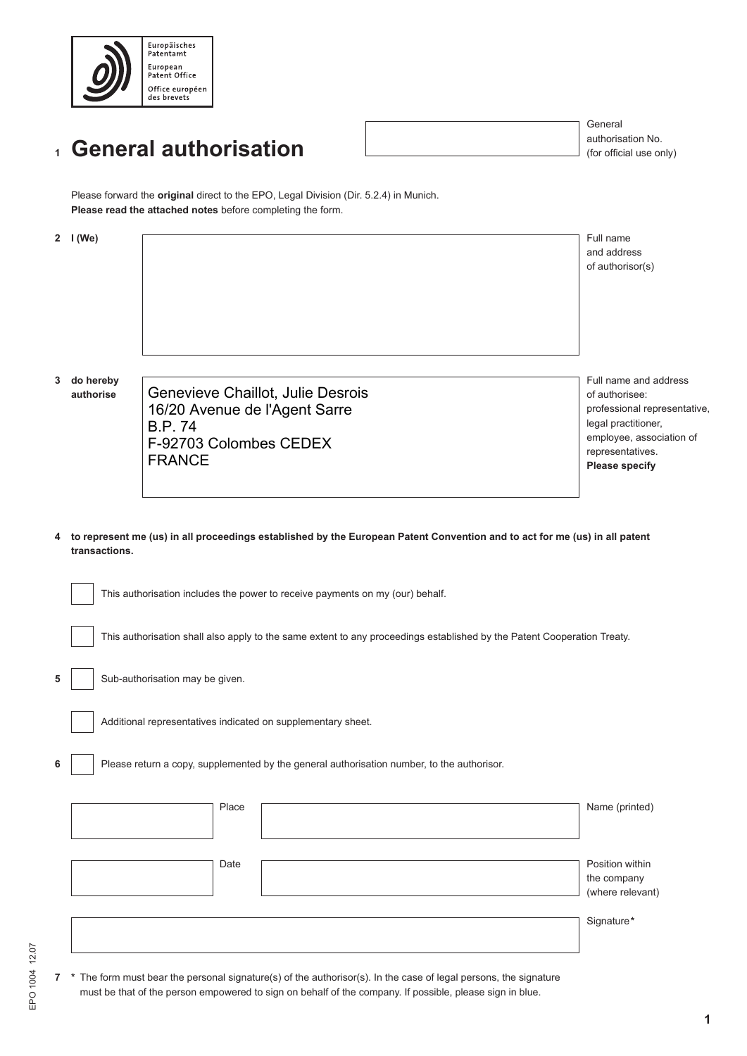

## **General authorisation 1**

General authorisation No. (for official use only)

Please forward the **original** direct to the EPO, Legal Division (Dir. 5.2.4) in Munich. **Please read the attached notes** before completing the form.

|                                                                                                                                               | 2 $I(We)$                                                                                                               |                                                                                                                                | Full name<br>and address<br>of authorisor(s)                                                                                                                            |  |  |  |  |
|-----------------------------------------------------------------------------------------------------------------------------------------------|-------------------------------------------------------------------------------------------------------------------------|--------------------------------------------------------------------------------------------------------------------------------|-------------------------------------------------------------------------------------------------------------------------------------------------------------------------|--|--|--|--|
| 3                                                                                                                                             | do hereby<br>authorise                                                                                                  | Genevieve Chaillot, Julie Desrois<br>16/20 Avenue de l'Agent Sarre<br><b>B.P.74</b><br>F-92703 Colombes CEDEX<br><b>FRANCE</b> | Full name and address<br>of authorisee:<br>professional representative,<br>legal practitioner,<br>employee, association of<br>representatives.<br><b>Please specify</b> |  |  |  |  |
| 4 to represent me (us) in all proceedings established by the European Patent Convention and to act for me (us) in all patent<br>transactions. |                                                                                                                         |                                                                                                                                |                                                                                                                                                                         |  |  |  |  |
|                                                                                                                                               | This authorisation includes the power to receive payments on my (our) behalf.                                           |                                                                                                                                |                                                                                                                                                                         |  |  |  |  |
|                                                                                                                                               | This authorisation shall also apply to the same extent to any proceedings established by the Patent Cooperation Treaty. |                                                                                                                                |                                                                                                                                                                         |  |  |  |  |

Sub-authorisation may be given.

Additional representatives indicated on supplementary sheet.

Please return a copy, supplemented by the general authorisation number, to the authorisor.

|  | Place | Name (printed)                                     |
|--|-------|----------------------------------------------------|
|  |       |                                                    |
|  | Date  | Position within<br>the company<br>(where relevant) |
|  |       |                                                    |
|  |       | Signature*                                         |
|  |       |                                                    |

**5**

**6**

**7 \*** The form must bear the personal signature(s) of the authorisor(s). In the case of legal persons, the signature must be that of the person empowered to sign on behalf of the company. If possible, please sign in blue.